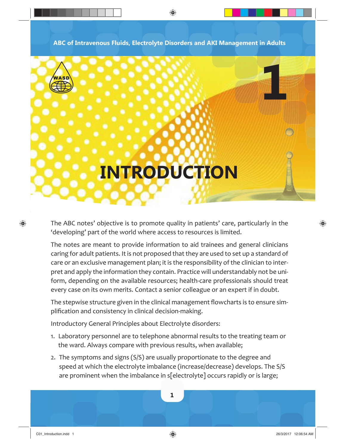**ABC of Intravenous Fluids, Electrolyte Disorders and AKI Management in Adults**

◈



⊕

## **INTRODUCTION**

The ABC notes' objective is to promote quality in patients' care, particularly in the 'developing' part of the world where access to resources is limited.

The notes are meant to provide information to aid trainees and general clinicians caring for adult patients. It is not proposed that they are used to set up a standard of care or an exclusive management plan; it is the responsibility of the clinician to interpret and apply the information they contain. Practice will understandably not be uniform, depending on the available resources; health-care professionals should treat every case on its own merits. Contact a senior colleague or an expert if in doubt.

The stepwise structure given in the clinical management flowcharts is to ensure simplification and consistency in clinical decision-making.

Introductory General Principles about Electrolyte disorders:

- 1. Laboratory personnel are to telephone abnormal results to the treating team or the ward. Always compare with previous results, when available;
- 2. The symptoms and signs (S/S) are usually proportionate to the degree and speed at which the electrolyte imbalance (increase/decrease) develops. The S/S are prominent when the imbalance in s[electrolyte] occurs rapidly or is large;

**1**

 $\bigodot$  26/3/2017 12:06:54 AM 6/3/2017 12:06:54 AM 6/3/2017 12:06:54 AM 6/3/2017 12:06:54 AM 6/3/2017 12:06:54 AM 6/3/2017 12:06:54 AM 6/3/2017 12:06:54 AM 6/3/2017 12:06:54 AM 6/3/3/2017 12:06:54 AM 6/3/3/2017 12:06:54 AM

♠

**1**